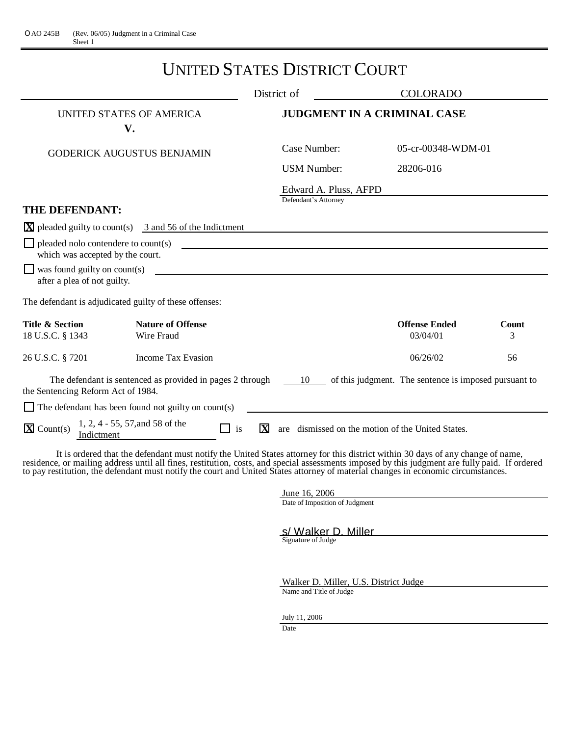# UNITED STATES DISTRICT COURT

|                                                                                |                                                                              | District of                                   | <b>COLORADO</b>                                       |            |
|--------------------------------------------------------------------------------|------------------------------------------------------------------------------|-----------------------------------------------|-------------------------------------------------------|------------|
|                                                                                | UNITED STATES OF AMERICA<br>V.                                               |                                               | <b>JUDGMENT IN A CRIMINAL CASE</b>                    |            |
|                                                                                | <b>GODERICK AUGUSTUS BENJAMIN</b>                                            | Case Number:                                  | 05-cr-00348-WDM-01                                    |            |
|                                                                                |                                                                              | <b>USM Number:</b>                            | 28206-016                                             |            |
|                                                                                |                                                                              | Edward A. Pluss, AFPD<br>Defendant's Attorney |                                                       |            |
| THE DEFENDANT:                                                                 |                                                                              |                                               |                                                       |            |
|                                                                                | $\overline{X}$ pleaded guilty to count(s) 3 and 56 of the Indictment         |                                               |                                                       |            |
| $\Box$ pleaded nolo contendere to count(s)<br>which was accepted by the court. |                                                                              |                                               |                                                       |            |
| $\Box$ was found guilty on count(s)<br>after a plea of not guilty.             |                                                                              |                                               |                                                       |            |
|                                                                                | The defendant is adjudicated guilty of these offenses:                       |                                               |                                                       |            |
| <b>Title &amp; Section</b><br>18 U.S.C. § 1343                                 | <b>Nature of Offense</b><br>Wire Fraud                                       |                                               | <b>Offense Ended</b><br>03/04/01                      | Count<br>3 |
| 26 U.S.C. § 7201                                                               | Income Tax Evasion                                                           |                                               | 06/26/02                                              | 56         |
| the Sentencing Reform Act of 1984.                                             | The defendant is sentenced as provided in pages 2 through $\qquad 10 \qquad$ |                                               | of this judgment. The sentence is imposed pursuant to |            |
|                                                                                | $\Box$ The defendant has been found not guilty on count(s)                   |                                               |                                                       |            |
| $\overline{\mathbf{X}}$ Count(s)<br>Indictment                                 | 1, 2, 4 - 55, 57, and 58 of the<br>is<br>l I                                 | $\overline{\mathbf{X}}$<br>are                | dismissed on the motion of the United States.         |            |

It is ordered that the defendant must notify the United States attorney for this district within 30 days of any change of name, residence, or mailing address until all fines, restitution, costs, and special assessments imposed by this judgment are fully paid. If ordered to pay restitution, the defendant must notify the court and United States attorney of material changes in economic circumstances.

> June 16, 2006 Date of Imposition of Judgment

S/Walker D. Miller<br>Signature of Judge

Walker D. Miller, U.S. District Judge

Name and Title of Judge

July 11, 2006

Date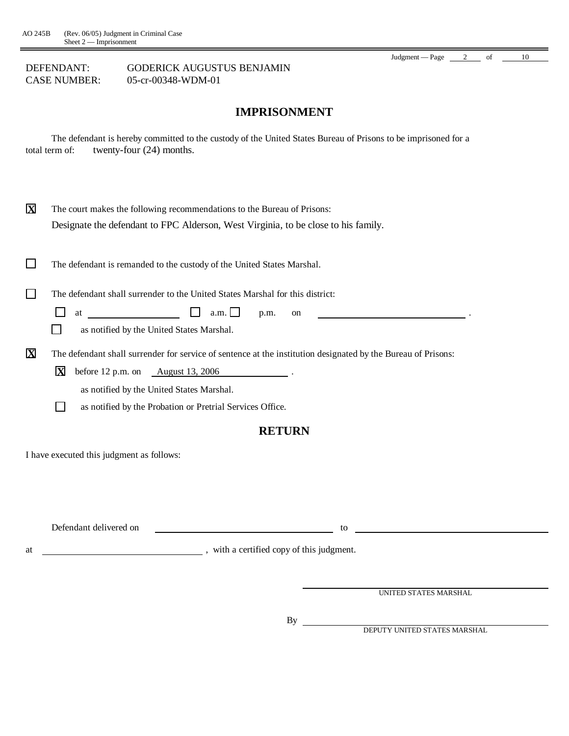### **IMPRISONMENT**

The defendant is hereby committed to the custody of the United States Bureau of Prisons to be imprisoned for a total term of: twenty-four (24) months.

| $\mathbf X$             | The court makes the following recommendations to the Bureau of Prisons:<br>Designate the defendant to FPC Alderson, West Virginia, to be close to his family.                                                                                                                         |
|-------------------------|---------------------------------------------------------------------------------------------------------------------------------------------------------------------------------------------------------------------------------------------------------------------------------------|
|                         | The defendant is remanded to the custody of the United States Marshal.                                                                                                                                                                                                                |
|                         | The defendant shall surrender to the United States Marshal for this district:<br><u> Louis Communication de la provincia de la pro</u><br>a.m.<br>at<br>p.m.<br><sub>on</sub><br>as notified by the United States Marshal.                                                            |
| $\overline{\mathbf{X}}$ | The defendant shall surrender for service of sentence at the institution designated by the Bureau of Prisons:<br>X<br>before $12$ p.m. on $\qquad \qquad$ August $13, 2006$<br>as notified by the United States Marshal.<br>as notified by the Probation or Pretrial Services Office. |
|                         | <b>RETURN</b>                                                                                                                                                                                                                                                                         |
|                         | I have executed this judgment as follows:                                                                                                                                                                                                                                             |

Defendant delivered on to

at  $\frac{1}{\sqrt{1-\frac{1}{\sqrt{1-\frac{1}{\sqrt{1-\frac{1}{\sqrt{1-\frac{1}{\sqrt{1-\frac{1}{\sqrt{1-\frac{1}{\sqrt{1-\frac{1}{\sqrt{1-\frac{1}{\sqrt{1-\frac{1}{\sqrt{1-\frac{1}{\sqrt{1-\frac{1}{\sqrt{1-\frac{1}{\sqrt{1-\frac{1}{\sqrt{1-\frac{1}{\sqrt{1-\frac{1}{\sqrt{1-\frac{1}{\sqrt{1-\frac{1}{\sqrt{1-\frac{1}{\sqrt{1-\frac{1}{\sqrt{1-\frac{1}{\sqrt{1-\frac{1}{\sqrt{1-\frac{1}{\sqrt{1-\frac{1}{\sqrt{1-\frac$ 

UNITED STATES MARSHAL

Judgment — Page  $\frac{2}{10}$  of  $\frac{10}{10}$ 

By

DEPUTY UNITED STATES MARSHAL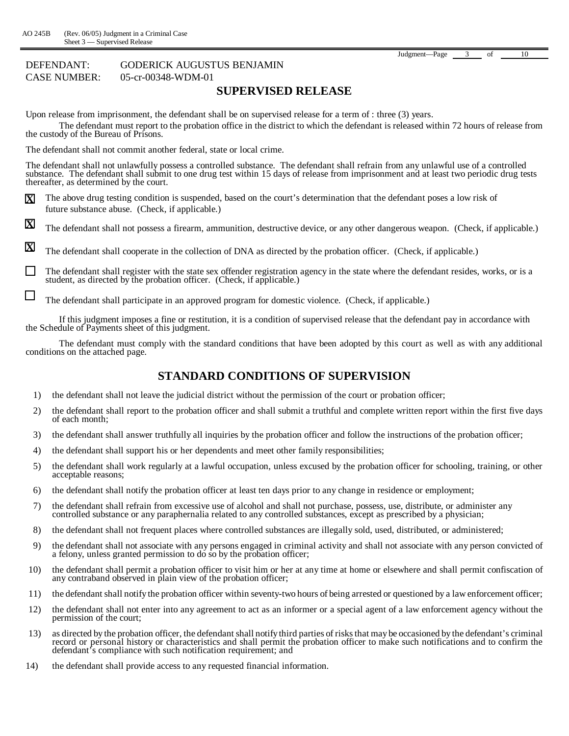$\Box$ 

#### DEFENDANT: GODERICK AUGUSTUS BENJAMIN CASE NUMBER: 05-cr-00348-WDM-01

### **SUPERVISED RELEASE**

Upon release from imprisonment, the defendant shall be on supervised release for a term of : three (3) years.

The defendant must report to the probation office in the district to which the defendant is released within 72 hours of release from the custody of the Bureau of Prisons.

The defendant shall not commit another federal, state or local crime.

The defendant shall not unlawfully possess a controlled substance. The defendant shall refrain from any unlawful use of a controlled substance. The defendant shall submit to one drug test within 15 days of release from imprisonment and at least two periodic drug tests thereafter, as determined by the court.

- **X** The above drug testing condition is suspended, based on the court's determination that the defendant poses a low risk of future substance abuse. (Check, if applicable.)
- **X** The defendant shall not possess a firearm, ammunition, destructive device, or any other dangerous weapon. (Check, if applicable.)

**X** The defendant shall cooperate in the collection of DNA as directed by the probation officer. (Check, if applicable.)

 $\Box$ The defendant shall register with the state sex offender registration agency in the state where the defendant resides, works, or is a student, as directed by the probation officer. (Check, if applicable.)

The defendant shall participate in an approved program for domestic violence. (Check, if applicable.)

If this judgment imposes a fine or restitution, it is a condition of supervised release that the defendant pay in accordance with the Schedule of Payments sheet of this judgment.

The defendant must comply with the standard conditions that have been adopted by this court as well as with any additional conditions on the attached page.

#### **STANDARD CONDITIONS OF SUPERVISION**

- 1) the defendant shall not leave the judicial district without the permission of the court or probation officer;
- 2) the defendant shall report to the probation officer and shall submit a truthful and complete written report within the first five days of each month;
- 3) the defendant shall answer truthfully all inquiries by the probation officer and follow the instructions of the probation officer;
- 4) the defendant shall support his or her dependents and meet other family responsibilities;
- 5) the defendant shall work regularly at a lawful occupation, unless excused by the probation officer for schooling, training, or other acceptable reasons;
- 6) the defendant shall notify the probation officer at least ten days prior to any change in residence or employment;
- 7) the defendant shall refrain from excessive use of alcohol and shall not purchase, possess, use, distribute, or administer any controlled substance or any paraphernalia related to any controlled substances, except as prescribed by a physician;
- 8) the defendant shall not frequent places where controlled substances are illegally sold, used, distributed, or administered;
- 9) the defendant shall not associate with any persons engaged in criminal activity and shall not associate with any person convicted of a felony, unless granted permission to do so by the probation officer;
- 10) the defendant shall permit a probation officer to visit him or her at any time at home or elsewhere and shall permit confiscation of any contraband observed in plain view of the probation officer;
- 11) the defendant shall notify the probation officer within seventy-two hours of being arrested or questioned by a law enforcement officer;
- 12) the defendant shall not enter into any agreement to act as an informer or a special agent of a law enforcement agency without the permission of the court;
- 13) as directed by the probation officer, the defendant shall notify third parties of risks that may be occasioned by the defendant's criminal record or personal history or characteristics and shall permit the probation officer to make such notifications and to confirm the defendant's compliance with such notification requirement; and
- 14) the defendant shall provide access to any requested financial information.

Judgment—Page 3 of 10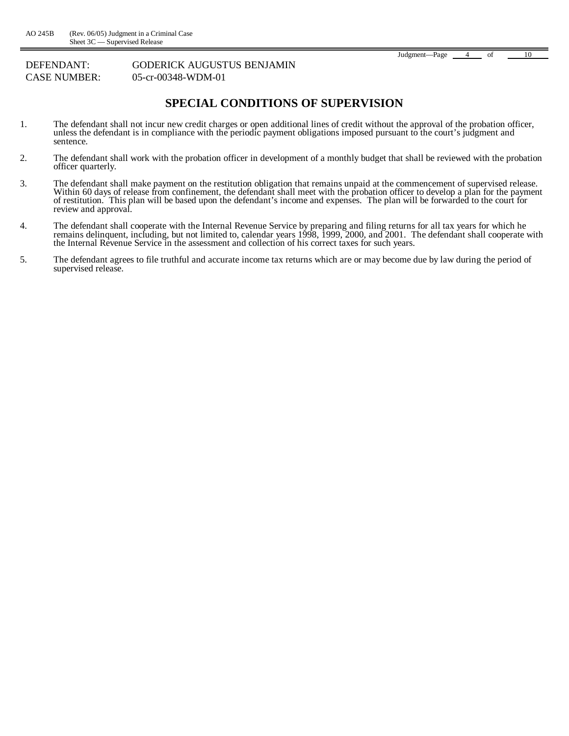#### **SPECIAL CONDITIONS OF SUPERVISION**

- 1. The defendant shall not incur new credit charges or open additional lines of credit without the approval of the probation officer, unless the defendant is in compliance with the periodic payment obligations imposed pursuant to the court's judgment and sentence.
- 2. The defendant shall work with the probation officer in development of a monthly budget that shall be reviewed with the probation officer quarterly.
- 3. The defendant shall make payment on the restitution obligation that remains unpaid at the commencement of supervised release. Within 60 days of release from confinement, the defendant shall meet with the probation officer to develop a plan for the payment of restitution. This plan will be based upon the defendant's income and expenses. The plan will be forwarded to the court for review and approval.
- 4. The defendant shall cooperate with the Internal Revenue Service by preparing and filing returns for all tax years for which he remains delinquent, including, but not limited to, calendar years 1998, 1999, 2000, and 2001. The defendant shall cooperate with the Internal Revenue Service in the assessment and collection of his correct taxes for such years.
- 5. The defendant agrees to file truthful and accurate income tax returns which are or may become due by law during the period of supervised release.

Judgment— Page 4 of 10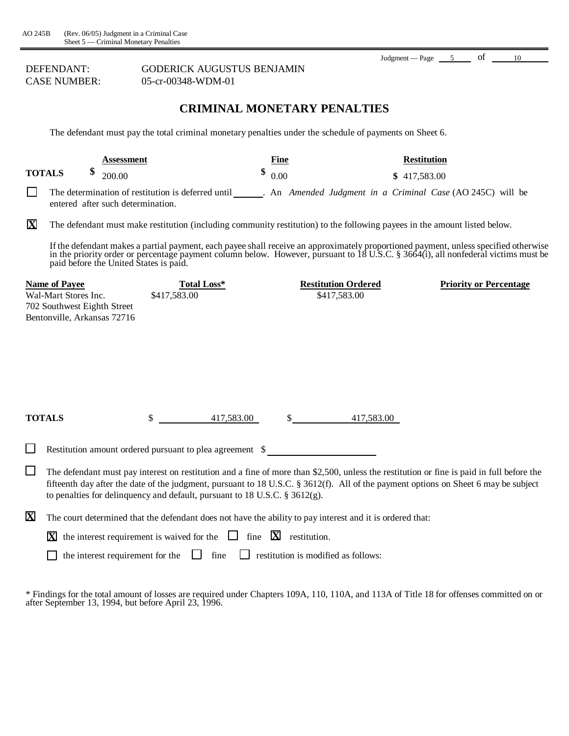DEFENDANT: **CASE NUMBER:** 

| <b>GODERICK AUGUSTUS BENJAMIN</b> |
|-----------------------------------|
| 05-cr-00348-WDM-01                |

### **CRIMINAL MONETARY PENALTIES**

Judgment — Page  $\frac{5}{\sqrt{10}}$  of  $\frac{10}{\sqrt{10}}$ 

The defendant must pay the total criminal monetary penalties under the schedule of payments on Sheet 6.

|                         |                                                                                                            | <b>Assessment</b> |                                                                                | Fine                                                                                                      |            | <b>Restitution</b>                                                                                                                                                                                                                                                               |
|-------------------------|------------------------------------------------------------------------------------------------------------|-------------------|--------------------------------------------------------------------------------|-----------------------------------------------------------------------------------------------------------|------------|----------------------------------------------------------------------------------------------------------------------------------------------------------------------------------------------------------------------------------------------------------------------------------|
|                         | <b>TOTALS</b>                                                                                              | 200.00            |                                                                                | \$<br>0.00                                                                                                |            | \$417,583.00                                                                                                                                                                                                                                                                     |
| l 1                     | entered after such determination.                                                                          |                   | The determination of restitution is deferred until                             |                                                                                                           |            | . An Amended Judgment in a Criminal Case (AO 245C) will be                                                                                                                                                                                                                       |
| $\overline{\mathbf{X}}$ |                                                                                                            |                   |                                                                                |                                                                                                           |            | The defendant must make restitution (including community restitution) to the following payees in the amount listed below.                                                                                                                                                        |
|                         | paid before the United States is paid.                                                                     |                   |                                                                                |                                                                                                           |            | If the defendant makes a partial payment, each payee shall receive an approximately proportioned payment, unless specified otherwise<br>in the priority order or percentage payment column below. However, pursuant to 18 U.S.C.                                                 |
|                         | <b>Name of Payee</b><br>Wal-Mart Stores Inc.<br>702 Southwest Eighth Street<br>Bentonville, Arkansas 72716 |                   | Total Loss*<br>\$417,583.00                                                    | <b>Restitution Ordered</b><br>\$417,583.00                                                                |            | <b>Priority or Percentage</b>                                                                                                                                                                                                                                                    |
|                         | <b>TOTALS</b>                                                                                              |                   | 417,583.00<br>\$                                                               |                                                                                                           | 417,583.00 |                                                                                                                                                                                                                                                                                  |
| $\Box$                  |                                                                                                            |                   |                                                                                | Restitution amount ordered pursuant to plea agreement \$                                                  |            |                                                                                                                                                                                                                                                                                  |
| $\Box$                  |                                                                                                            |                   | to penalties for delinquency and default, pursuant to 18 U.S.C. $\S 3612(g)$ . |                                                                                                           |            | The defendant must pay interest on restitution and a fine of more than \$2,500, unless the restitution or fine is paid in full before the<br>fifteenth day after the date of the judgment, pursuant to 18 U.S.C. § 3612(f). All of the payment options on Sheet 6 may be subject |
| $\mathbf X$             |                                                                                                            |                   |                                                                                | The court determined that the defendant does not have the ability to pay interest and it is ordered that: |            |                                                                                                                                                                                                                                                                                  |
|                         | X                                                                                                          |                   | the interest requirement is waived for the $\Box$ fine $\Box$ restitution.     |                                                                                                           |            |                                                                                                                                                                                                                                                                                  |
|                         |                                                                                                            |                   | the interest requirement for the $\Box$ fine                                   | restitution is modified as follows:                                                                       |            |                                                                                                                                                                                                                                                                                  |

\* Findings for the total amount of losses are required under Chapters 109A, 110, 110A, and 113A of Title 18 for offenses committed on or after September 13, 1994, but before April 23, 1996.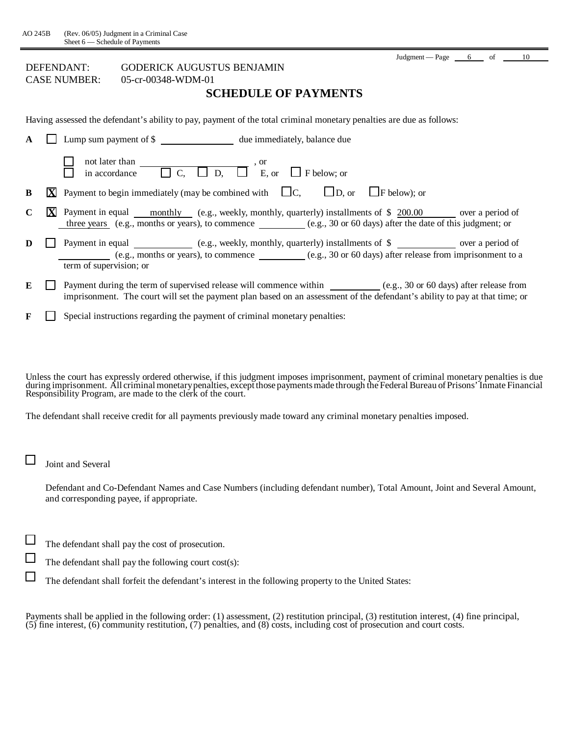## DEFENDANT: GODERICK AUGUSTUS BENJAMIN

CASE NUMBER: 05-cr-00348-WDM-01

### **SCHEDULE OF PAYMENTS**

Having assessed the defendant's ability to pay, payment of the total criminal monetary penalties are due as follows:

| A | Lump sum payment of \$                                                                                                                                                                                                                                  |
|---|---------------------------------------------------------------------------------------------------------------------------------------------------------------------------------------------------------------------------------------------------------|
|   | not later than<br>in accordance $\Box$ C, $\Box$ D, $\Box$ E,<br>$\Box$ E, or $\Box$ F below; or                                                                                                                                                        |
| B | <b>X</b> Payment to begin immediately (may be combined with $\Box C$ , $\Box D$ , or $\Box F$ below); or                                                                                                                                                |
| C | Payment in equal <u>monthly</u> (e.g., weekly, monthly, quarterly) installments of \$ 200.00 over a period of<br>three years (e.g., months or years), to commence (e.g., 30 or 60 days) after the date of this judgment; or                             |
| D | Payment in equal ____________ (e.g., weekly, monthly, quarterly) installments of \$<br>(e.g., months or years), to commence $(e.g., 30 \text{ or } 60 \text{ days})$ after release from imprisonment to a<br>term of supervision; or                    |
| E | Payment during the term of supervised release will commence within _____________(e.g., 30 or 60 days) after release from<br>imprisonment. The court will set the payment plan based on an assessment of the defendant's ability to pay at that time; or |
| F | Special instructions regarding the payment of criminal monetary penalties:                                                                                                                                                                              |

Unless the court has expressly ordered otherwise, if this judgment imposes imprisonment, payment of criminal monetary penalties is due during imprisonment. All criminal monetary penalties, except those payments made through the Federal Bureau of Prisons' Inmate Financial Responsibility Program, are made to the clerk of the court.

The defendant shall receive credit for all payments previously made toward any criminal monetary penalties imposed.

Joint and Several

 $\Box$ 

 $\Box$ 

Defendant and Co-Defendant Names and Case Numbers (including defendant number), Total Amount, Joint and Several Amount, and corresponding payee, if appropriate.

 $\Box$ The defendant shall pay the cost of prosecution.

The defendant shall pay the following court cost(s):

The defendant shall forfeit the defendant's interest in the following property to the United States:

Payments shall be applied in the following order: (1) assessment, (2) restitution principal, (3) restitution interest, (4) fine principal, (5) fine interest, (6) community restitution, (7) penalties, and (8) costs, including cost of prosecution and court costs.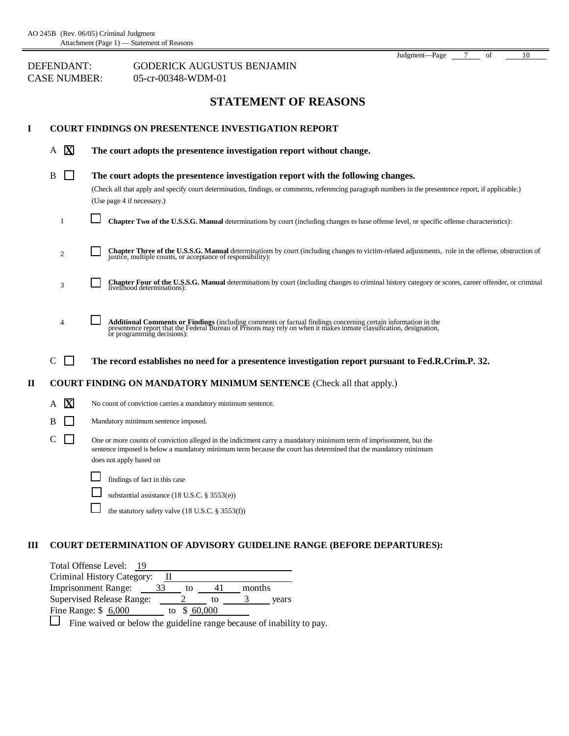### **STATEMENT OF REASONS**

Judgment—Page 7 of 10

| I            |                              | <b>COURT FINDINGS ON PRESENTENCE INVESTIGATION REPORT</b>                                                                                                                                                                                                                 |  |  |
|--------------|------------------------------|---------------------------------------------------------------------------------------------------------------------------------------------------------------------------------------------------------------------------------------------------------------------------|--|--|
|              | $\overline{\mathbf{X}}$<br>A | The court adopts the presentence investigation report without change.                                                                                                                                                                                                     |  |  |
|              | B<br>$\mathbf{L}$            | The court adopts the presentence investigation report with the following changes.<br>(Check all that apply and specify court determination, findings, or comments, referencing paragraph numbers in the presentence report, if applicable.)<br>(Use page 4 if necessary.) |  |  |
|              | 1                            | Chapter Two of the U.S.S.G. Manual determinations by court (including changes to base offense level, or specific offense characteristics):                                                                                                                                |  |  |
|              | 2                            | Chapter Three of the U.S.S.G. Manual determinations by court (including changes to victim-related adjustments, role in the offense, obstruction of justice, multiple counts, or acceptance of responsibility):                                                            |  |  |
|              | 3                            | Chapter Four of the U.S.S.G. Manual determinations by court (including changes to criminal history category or scores, career offender, or criminal livelihood determinations):                                                                                           |  |  |
|              | 4                            | Additional Comments or Findings (including comments or factual findings concerning certain information in the presentence report that the Federal Bureau of Prisons may rely on when it makes inmate classification, designati                                            |  |  |
|              | $\mathsf{C}$                 | The record establishes no need for a presentence investigation report pursuant to Fed.R.Crim.P. 32.                                                                                                                                                                       |  |  |
| $\mathbf{I}$ |                              | <b>COURT FINDING ON MANDATORY MINIMUM SENTENCE</b> (Check all that apply.)                                                                                                                                                                                                |  |  |
|              | A X                          | No count of conviction carries a mandatory minimum sentence.                                                                                                                                                                                                              |  |  |
|              | B<br>$\sim$                  | Mandatory minimum sentence imposed.                                                                                                                                                                                                                                       |  |  |
|              | $\mathsf{I}$<br>$\mathsf{C}$ | One or more counts of conviction alleged in the indictment carry a mandatory minimum term of imprisonment, but the<br>sentence imposed is below a mandatory minimum term because the court has determined that the mandatory minimum<br>does not apply based on           |  |  |
|              |                              | findings of fact in this case                                                                                                                                                                                                                                             |  |  |
|              |                              | substantial assistance (18 U.S.C. § 3553(e))                                                                                                                                                                                                                              |  |  |
|              |                              | the statutory safety valve (18 U.S.C. § 3553(f))                                                                                                                                                                                                                          |  |  |

#### **III COURT DETERMINATION OF ADVISORY GUIDELINE RANGE (BEFORE DEPARTURES):**

| Total Offense Level:<br>19 |    |    |        |        |       |
|----------------------------|----|----|--------|--------|-------|
| Criminal History Category: |    |    |        |        |       |
| <b>Imprisonment Range:</b> | 33 | tο |        | months |       |
| Supervised Release Range:  |    |    | tΟ     |        | vears |
| Fine Range: $$6,000$       |    | tο | 60,000 |        |       |
|                            |    |    |        |        |       |

Fine waived or below the guideline range because of inability to pay.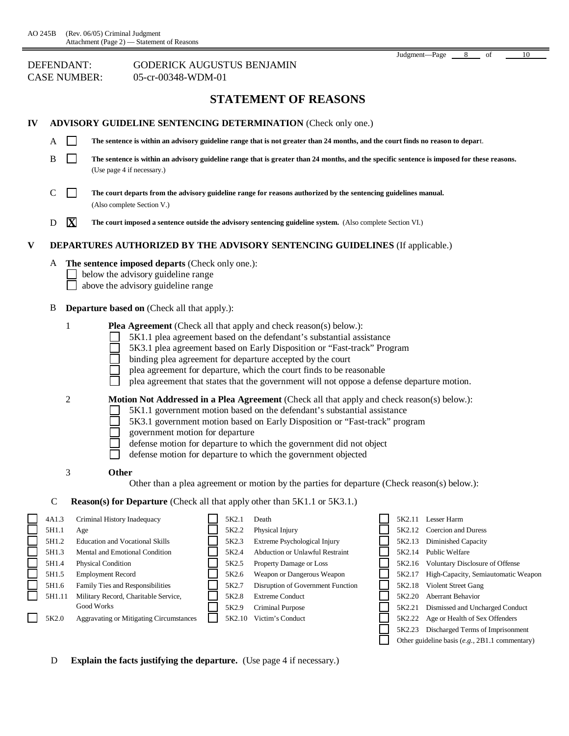### **STATEMENT OF REASONS**

| 1V |                                                                                |                                                                                                                                                                                                                                                                                                              | <b>ADVISORY GUIDELINE SENTENCING DETERMINATION (Check only one.)</b>                                                                                                                                                                                                                                                                                                                                                                                                                                                                                                                                                                                                                                                                                                                                                                                                   |
|----|--------------------------------------------------------------------------------|--------------------------------------------------------------------------------------------------------------------------------------------------------------------------------------------------------------------------------------------------------------------------------------------------------------|------------------------------------------------------------------------------------------------------------------------------------------------------------------------------------------------------------------------------------------------------------------------------------------------------------------------------------------------------------------------------------------------------------------------------------------------------------------------------------------------------------------------------------------------------------------------------------------------------------------------------------------------------------------------------------------------------------------------------------------------------------------------------------------------------------------------------------------------------------------------|
|    | A                                                                              | $\mathsf{L}$                                                                                                                                                                                                                                                                                                 | The sentence is within an advisory guideline range that is not greater than 24 months, and the court finds no reason to depart.                                                                                                                                                                                                                                                                                                                                                                                                                                                                                                                                                                                                                                                                                                                                        |
|    | B                                                                              | l 1<br>(Use page 4 if necessary.)                                                                                                                                                                                                                                                                            | The sentence is within an advisory guideline range that is greater than 24 months, and the specific sentence is imposed for these reasons.                                                                                                                                                                                                                                                                                                                                                                                                                                                                                                                                                                                                                                                                                                                             |
|    | $\mathsf{C}$                                                                   | $\mathsf{L}$<br>(Also complete Section V.)                                                                                                                                                                                                                                                                   | The court departs from the advisory guideline range for reasons authorized by the sentencing guidelines manual.                                                                                                                                                                                                                                                                                                                                                                                                                                                                                                                                                                                                                                                                                                                                                        |
|    | $\mathbf X$<br>D                                                               |                                                                                                                                                                                                                                                                                                              | The court imposed a sentence outside the advisory sentencing guideline system. (Also complete Section VI.)                                                                                                                                                                                                                                                                                                                                                                                                                                                                                                                                                                                                                                                                                                                                                             |
| V  |                                                                                |                                                                                                                                                                                                                                                                                                              | <b>DEPARTURES AUTHORIZED BY THE ADVISORY SENTENCING GUIDELINES</b> (If applicable.)                                                                                                                                                                                                                                                                                                                                                                                                                                                                                                                                                                                                                                                                                                                                                                                    |
|    | A                                                                              | The sentence imposed departs (Check only one.):<br>below the advisory guideline range<br>above the advisory guideline range                                                                                                                                                                                  |                                                                                                                                                                                                                                                                                                                                                                                                                                                                                                                                                                                                                                                                                                                                                                                                                                                                        |
|    | В                                                                              | <b>Departure based on</b> (Check all that apply.):                                                                                                                                                                                                                                                           |                                                                                                                                                                                                                                                                                                                                                                                                                                                                                                                                                                                                                                                                                                                                                                                                                                                                        |
|    | 1<br>$\overline{c}$                                                            | government motion for departure                                                                                                                                                                                                                                                                              | <b>Plea Agreement</b> (Check all that apply and check reason(s) below.):<br>5K1.1 plea agreement based on the defendant's substantial assistance<br>5K3.1 plea agreement based on Early Disposition or "Fast-track" Program<br>binding plea agreement for departure accepted by the court<br>plea agreement for departure, which the court finds to be reasonable<br>plea agreement that states that the government will not oppose a defense departure motion.<br><b>Motion Not Addressed in a Plea Agreement</b> (Check all that apply and check reason(s) below.):<br>5K1.1 government motion based on the defendant's substantial assistance<br>5K3.1 government motion based on Early Disposition or "Fast-track" program<br>defense motion for departure to which the government did not object<br>defense motion for departure to which the government objected |
|    | 3                                                                              | Other                                                                                                                                                                                                                                                                                                        | Other than a plea agreement or motion by the parties for departure (Check reason(s) below.):                                                                                                                                                                                                                                                                                                                                                                                                                                                                                                                                                                                                                                                                                                                                                                           |
|    | $\mathcal{C}$                                                                  |                                                                                                                                                                                                                                                                                                              | Reason(s) for Departure (Check all that apply other than 5K1.1 or 5K3.1.)                                                                                                                                                                                                                                                                                                                                                                                                                                                                                                                                                                                                                                                                                                                                                                                              |
|    | 4A1.3<br>5H1.1<br>5H1.2<br>5H1.3<br>5H1.4<br>5H1.5<br>5H1.6<br>5H1.11<br>5K2.0 | Criminal History Inadequacy<br>Age<br><b>Education and Vocational Skills</b><br>Mental and Emotional Condition<br>Physical Condition<br><b>Employment Record</b><br>Family Ties and Responsibilities<br>Military Record, Charitable Service,<br>Good Works<br><b>Aggravating or Mitigating Circumstances</b> | 5K2.11 Lesser Harm<br>5K2.1<br>Death<br>5K2.12 Coercion and Duress<br>5K2.2<br>Physical Injury<br>5K2.3<br>5K2.13 Diminished Capacity<br>Extreme Psychological Injury<br>5K2.4<br>Abduction or Unlawful Restraint<br>5K2.14<br>Public Welfare<br>5K2.5<br>Property Damage or Loss<br>Voluntary Disclosure of Offense<br>5K2.16<br>5K2.6<br>Weapon or Dangerous Weapon<br>High-Capacity, Semiautomatic Weapon<br>5K2.17<br>5K2.7<br>Disruption of Government Function<br>5K2.18<br>Violent Street Gang<br>5K2.8<br>5K2.20<br>Aberrant Behavior<br><b>Extreme Conduct</b><br>5K2.9<br>Criminal Purpose<br>5K2.21<br>Dismissed and Uncharged Conduct<br>5K2.10<br>Victim's Conduct<br>5K2.22<br>Age or Health of Sex Offenders<br>5K2.23<br>Discharged Terms of Imprisonment<br>Other guideline basis (e.g., 2B1.1 commentary)                                            |

D **Explain the facts justifying the departure.** (Use page 4 if necessary.)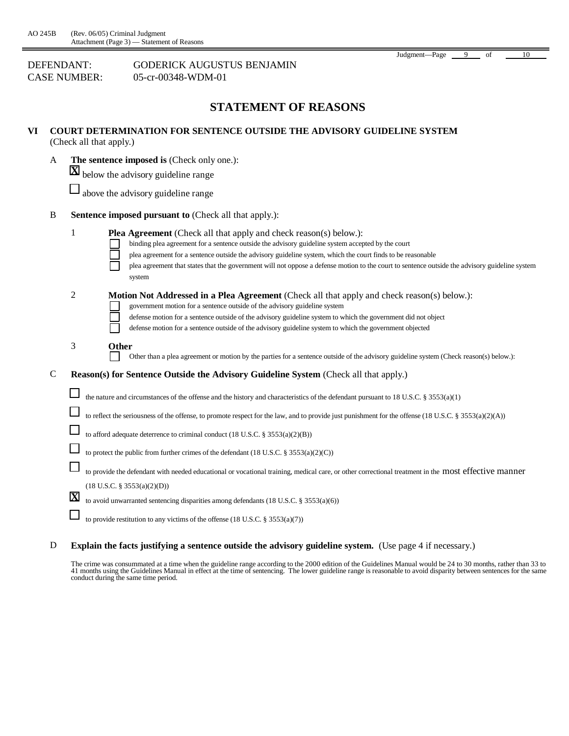| Judgment-Page | of | 10 |
|---------------|----|----|
|               |    |    |

| DEFENDANT:   | <b>GODERICK AUGUSTUS BENJAMIN</b> |
|--------------|-----------------------------------|
| CASE NUMBER: | 05-cr-00348-WDM-01                |

#### **STATEMENT OF REASONS**

| VI<br><b>COURT DETERMINATION FOR SENTENCE OUTSIDE THE ADVISORY GUIDELINE SYSTEM</b><br>(Check all that apply.) |             |                                                                                                                                                                                                                                                                                                                                                                                                                                                               |  |
|----------------------------------------------------------------------------------------------------------------|-------------|---------------------------------------------------------------------------------------------------------------------------------------------------------------------------------------------------------------------------------------------------------------------------------------------------------------------------------------------------------------------------------------------------------------------------------------------------------------|--|
|                                                                                                                | A           | The sentence imposed is (Check only one.):                                                                                                                                                                                                                                                                                                                                                                                                                    |  |
|                                                                                                                |             | <b>X</b> below the advisory guideline range                                                                                                                                                                                                                                                                                                                                                                                                                   |  |
|                                                                                                                |             | above the advisory guideline range                                                                                                                                                                                                                                                                                                                                                                                                                            |  |
|                                                                                                                | $\bf{B}$    | <b>Sentence imposed pursuant to (Check all that apply.):</b>                                                                                                                                                                                                                                                                                                                                                                                                  |  |
|                                                                                                                |             | 1<br><b>Plea Agreement</b> (Check all that apply and check reason(s) below.):<br>binding plea agreement for a sentence outside the advisory guideline system accepted by the court<br>plea agreement for a sentence outside the advisory guideline system, which the court finds to be reasonable<br>plea agreement that states that the government will not oppose a defense motion to the court to sentence outside the advisory guideline system<br>system |  |
|                                                                                                                |             | $\sqrt{2}$<br><b>Motion Not Addressed in a Plea Agreement</b> (Check all that apply and check reason(s) below.):<br>government motion for a sentence outside of the advisory guideline system<br>defense motion for a sentence outside of the advisory guideline system to which the government did not object<br>defense motion for a sentence outside of the advisory guideline system to which the government objected                                     |  |
|                                                                                                                |             | 3<br>Other<br>Other than a plea agreement or motion by the parties for a sentence outside of the advisory guideline system (Check reason(s) below.):                                                                                                                                                                                                                                                                                                          |  |
|                                                                                                                | $\mathbf C$ | Reason(s) for Sentence Outside the Advisory Guideline System (Check all that apply.)                                                                                                                                                                                                                                                                                                                                                                          |  |
|                                                                                                                |             | the nature and circumstances of the offense and the history and characteristics of the defendant pursuant to 18 U.S.C. § 3553(a)(1)                                                                                                                                                                                                                                                                                                                           |  |
|                                                                                                                |             | to reflect the seriousness of the offense, to promote respect for the law, and to provide just punishment for the offense (18 U.S.C. § 3553(a)(2)(A))                                                                                                                                                                                                                                                                                                         |  |
|                                                                                                                |             | to afford adequate deterrence to criminal conduct $(18$ U.S.C. § $3553(a)(2)(B))$                                                                                                                                                                                                                                                                                                                                                                             |  |
|                                                                                                                |             | to protect the public from further crimes of the defendant $(18$ U.S.C. § 3553(a)(2)(C))                                                                                                                                                                                                                                                                                                                                                                      |  |
|                                                                                                                |             | to provide the defendant with needed educational or vocational training, medical care, or other correctional treatment in the most effective manner                                                                                                                                                                                                                                                                                                           |  |
|                                                                                                                |             | $(18$ U.S.C. § 3553(a)(2)(D))                                                                                                                                                                                                                                                                                                                                                                                                                                 |  |
|                                                                                                                |             | $\overline{\mathbf{X}}$<br>to avoid unwarranted sentencing disparities among defendants (18 U.S.C. § 3553(a)(6))                                                                                                                                                                                                                                                                                                                                              |  |
|                                                                                                                |             | to provide restitution to any victims of the offense $(18$ U.S.C. § 3553(a)(7))                                                                                                                                                                                                                                                                                                                                                                               |  |
|                                                                                                                |             |                                                                                                                                                                                                                                                                                                                                                                                                                                                               |  |

D **Explain the facts justifying a sentence outside the advisory guideline system.** (Use page 4 if necessary.)

The crime was consummated at a time when the guideline range according to the 2000 edition of the Guidelines Manual would be 24 to 30 months, rather than 33 to 41 months using the Guidelines Manual in effect at the time of